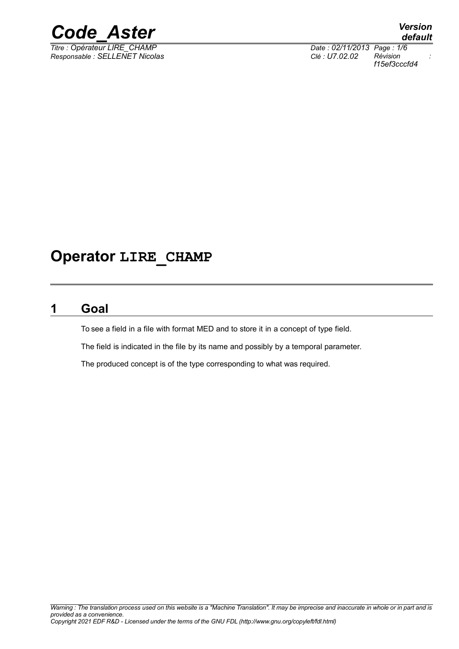

*Titre : Opérateur LIRE\_CHAMP Date : 02/11/2013 Page : 1/6 Responsable : SELLENET Nicolas Clé : U7.02.02 Révision :*

*f15ef3cccfd4*

## **Operator LIRE\_CHAMP**

## **1 Goal**

To see a field in a file with format MED and to store it in a concept of type field.

The field is indicated in the file by its name and possibly by a temporal parameter.

The produced concept is of the type corresponding to what was required.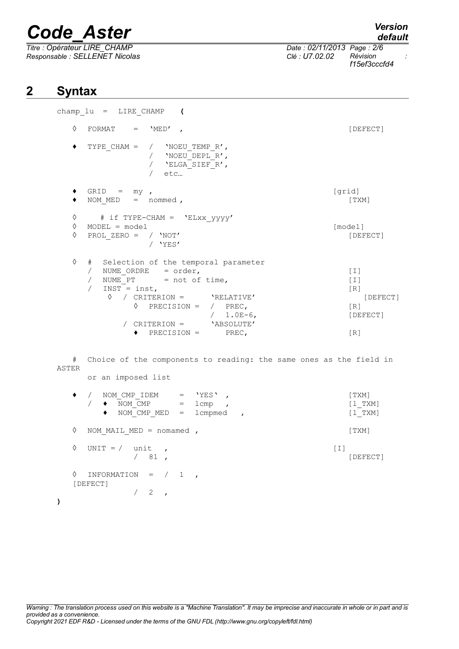# *Code\_Aster Version*

*Titre : Opérateur LIRE\_CHAMP Date : 02/11/2013 Page : 2/6 Responsable : SELLENET Nicolas Clé : U7.02.02 Révision :*

*f15ef3cccfd4*

## **2 Syntax**

**)**

```
champ_lu = LIRE_CHAMP (
  ◊ FORMAT = 'MED' , [DEFECT]
  \blacklozenge TYPE CHAM = / 'NOEU TEMP R',
             / 'NOEU^{-}DEPL^{-}R',
             / 'ELGA_SIEF_R',
               etc…
  \bullet GRID = my,
  ♦ NOM_MED = nommed , [TXM] 
  \Diamond # if TYPE-CHAM = 'ELXX_YYYY'<br>\Diamond MODEL = model
  \% MODEL = model \% model [model] [model]
    PROL ZERO = / 'NOT' [DEFECT]
             / 'YES'
  ◊ # Selection of the temporal parameter
    / NUME ORDRE = order, [I]
    / NUME PT = not of time, [I]
    / INST = inst,<br>
0 / CRITERION = 'RELATIVE'
        ◊ / CRITERION = 'RELATIVE' [DEFECT]
           \Diamond PRECISION = / PREC, [R]
                      / 1.0E-6, [DEFECT]
          / CRITERION =\blacklozenge PRECISION = PREC, [R]# Choice of the components to reading: the same ones as the field in 
ASTER
```
or an imposed list

|   | NOM CMP IDEM<br>٠<br>٠   | NOM CMP<br>NOM CMP MED |     |                | $=$<br>$=$<br>$=$ | 'YES'<br>lcmp<br>lcmpmed | $\mathbf{r}$<br>$\mathbf{r}$ | $\overline{ }$ |  |                   | [TXM]<br>[l TXM]<br>$[1$ TXM] |
|---|--------------------------|------------------------|-----|----------------|-------------------|--------------------------|------------------------------|----------------|--|-------------------|-------------------------------|
| ♦ | NOM MAIL MED = nomamed , |                        |     |                |                   |                          |                              |                |  |                   | [TXM]                         |
| ♦ | UNIT $=$ /               | unit                   | 81, | $\overline{ }$ |                   |                          |                              |                |  | $\lceil 1 \rceil$ | [DEFECT]                      |
| ♦ | INFORMATION<br>[DEFECT]  |                        | $=$ |                | $\overline{1}$    | $\sim$                   |                              |                |  |                   |                               |
|   |                          |                        | 2   |                |                   |                          |                              |                |  |                   |                               |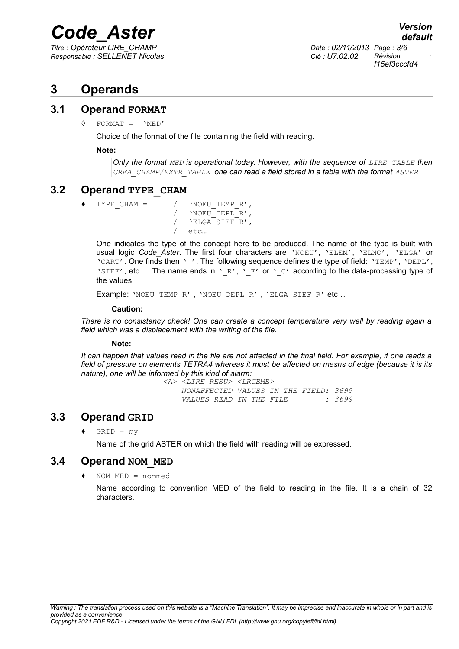## *Code\_Aster Version*

*Titre : Opérateur LIRE\_CHAMP Date : 02/11/2013 Page : 3/6 Responsable : SELLENET Nicolas Clé : U7.02.02 Révision :*

*f15ef3cccfd4*

## **3 Operands**

#### **3.1 Operand FORMAT**

 $\Diamond$  FORMAT =  $'MED'$ 

Choice of the format of the file containing the field with reading.

**Note:**

*Only the format MED is operational today. However, with the sequence of LIRE\_TABLE then CREA\_CHAMP/EXTR\_TABLE one can read a field stored in a table with the format ASTER*

#### **3.2 Operand TYPE\_CHAM**

TYPE CHAM =  $/$  'NOEU TEMP R', / 'NOEU\_DEPL\_R', / 'ELGA\_SIEF\_R', / etc…

> One indicates the type of the concept here to be produced. The name of the type is built with usual logic *Code\_Aster*. The first four characters are 'NOEU', 'ELEM', 'ELNO', 'ELGA' or 'CART'. One finds then ''. The following sequence defines the type of field: 'TEMP', 'DEPL', 'SIEF', etc... The name ends in '\_R', '\_F' or '\_C' according to the data-processing type of the values.

Example: 'NOEU TEMP R' , 'NOEU DEPL R' , 'ELGA SIEF R' etc...

#### **Caution:**

*There is no consistency check! One can create a concept temperature very well by reading again a field which was a displacement with the writing of the file.*

#### **Note:**

*It can happen that values read in the file are not affected in the final field. For example, if one reads a field of pressure on elements TETRA4 whereas it must be affected on meshs of edge (because it is its nature), one will be informed by this kind of alarm:*

 *<A> <LIRE\_RESU> <LRCEME> NONAFFECTED VALUES IN THE FIELD: 3699 VALUES READ IN THE FILE : 3699*

### **3.3 Operand GRID**

 $\triangleleft$  GRID = my

Name of the grid ASTER on which the field with reading will be expressed.

#### **3.4 Operand NOM\_MED**

 $NOM$   $MED$  = nommed

Name according to convention MED of the field to reading in the file. It is a chain of 32 characters.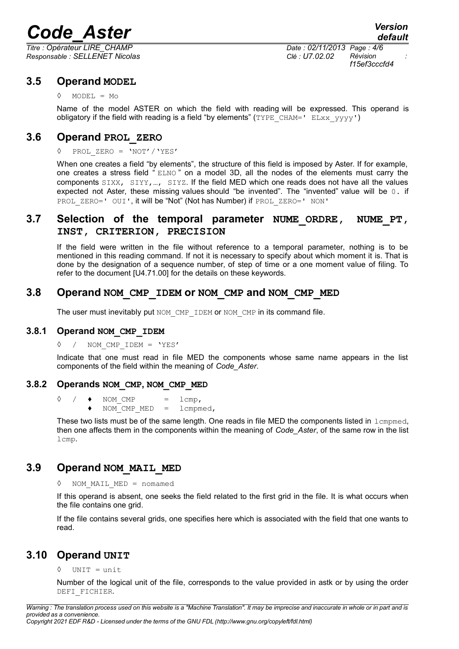## *Code\_Aster Version*

*Responsable : SELLENET Nicolas Clé : U7.02.02 Révision :*

*Titre : Opérateur LIRE\_CHAMP Date : 02/11/2013 Page : 4/6 f15ef3cccfd4*

#### **3.5 Operand MODEL**

#### $MODEL = Mo$

Name of the model ASTER on which the field with reading will be expressed. This operand is obligatory if the field with reading is a field "by elements" ( $TYPE$  CHAM=' ELxx yyyy')

#### **3.6 Operand PROL\_ZERO**

#### PROL ZERO = 'NOT'/'YES'

When one creates a field "by elements", the structure of this field is imposed by Aster. If for example, one creates a stress field " ELNO " on a model 3D, all the nodes of the elements must carry the components SIXX, SIYY,…, SIYZ. If the field MED which one reads does not have all the values expected not Aster, these missing values should "be invented". The "invented" value will be 0. if PROL\_ZERO=' OUI', it will be "Not" (Not has Number) if PROL\_ZERO=' NON'

#### **3.7 Selection of the temporal parameter NUME\_ORDRE, NUME\_PT, INST, CRITERION, PRECISION**

If the field were written in the file without reference to a temporal parameter, nothing is to be mentioned in this reading command. If not it is necessary to specify about which moment it is. That is done by the designation of a sequence number, of step of time or a one moment value of filing. To refer to the document [U4.71.00] for the details on these keywords.

#### **3.8 Operand NOM\_CMP\_IDEM or NOM\_CMP and NOM\_CMP\_MED**

The user must inevitably put NOM CMP\_IDEM or NOM\_CMP in its command file.

#### **3.8.1 Operand NOM\_CMP\_IDEM**

◊ / NOM\_CMP\_IDEM = 'YES'

Indicate that one must read in file MED the components whose same name appears in the list components of the field within the meaning of *Code\_Aster*.

#### **3.8.2 Operands NOM\_CMP, NOM\_CMP\_MED**

 $\Diamond$  /  $\bullet$  NOM CMP = lcmp,

♦ NOM\_CMP\_MED = lcmpmed,

These two lists must be of the same length. One reads in file MED the components listed in  $l$ cmpmed, then one affects them in the components within the meaning of *Code\_Aster*, of the same row in the list lcmp.

#### **3.9 Operand NOM\_MAIL\_MED**

◊ NOM\_MAIL\_MED = nomamed

If this operand is absent, one seeks the field related to the first grid in the file. It is what occurs when the file contains one grid.

If the file contains several grids, one specifies here which is associated with the field that one wants to read.

### **3.10 Operand UNIT**

#### ◊ UNIT = unit

Number of the logical unit of the file, corresponds to the value provided in astk or by using the order DEFI\_FICHIER.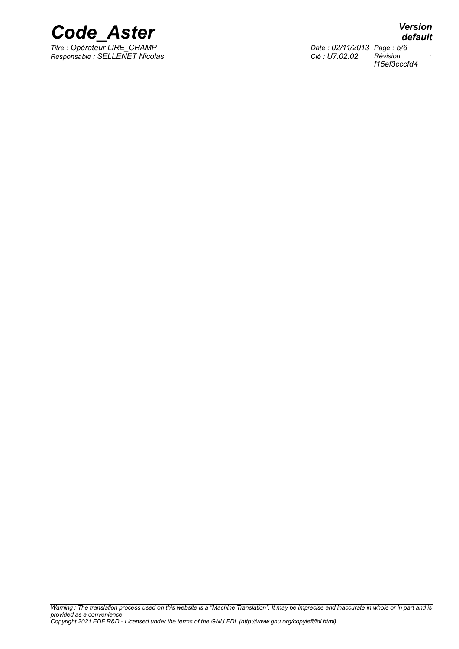

*Titre : Opérateur LIRE\_CHAMP Date : 02/11/2013 Page : 5/6*

*default*

*Responsable : SELLENET Nicolas Clé : U7.02.02 Révision : f15ef3cccfd4*